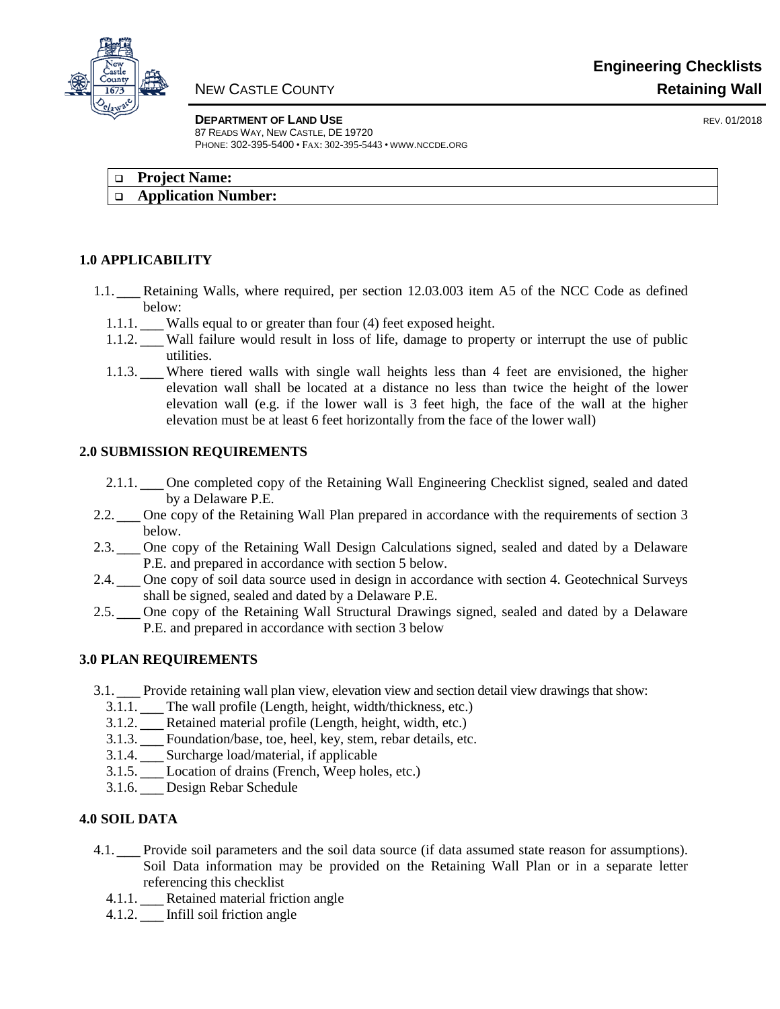

**DEPARTMENT OF LAND USE REV. 01/2018** 87 READS WAY, NEW CASTLE, DE 19720 PHONE: 302-395-5400 • FAX: 302-395-5443 • WWW.NCCDE.ORG

**Project Name:**

## **Application Number:**

## **1.0 APPLICABILITY**

- 1.1. Netaining Walls, where required, per section 12.03.003 item A5 of the NCC Code as defined below:
	- 1.1.1.  $\blacksquare$  Walls equal to or greater than four (4) feet exposed height.
	- 1.1.2.  $\blacksquare$  Wall failure would result in loss of life, damage to property or interrupt the use of public utilities.
	- 1.1.3.  $\blacksquare$  Where tiered walls with single wall heights less than 4 feet are envisioned, the higher elevation wall shall be located at a distance no less than twice the height of the lower elevation wall (e.g. if the lower wall is 3 feet high, the face of the wall at the higher elevation must be at least 6 feet horizontally from the face of the lower wall)

#### **2.0 SUBMISSION REQUIREMENTS**

- 2.1.1. Notice 1 One completed copy of the Retaining Wall Engineering Checklist signed, sealed and dated by a Delaware P.E.
- 2.2.  $\Box$  One copy of the Retaining Wall Plan prepared in accordance with the requirements of section 3 below.
- 2.3. Delaware 2.3. One copy of the Retaining Wall Design Calculations signed, sealed and dated by a Delaware P.E. and prepared in accordance with section 5 below.
- 2.4.  $\Box$  One copy of soil data source used in design in accordance with section 4. Geotechnical Surveys shall be signed, sealed and dated by a Delaware P.E.
- 2.5. **I** One copy of the Retaining Wall Structural Drawings signed, sealed and dated by a Delaware P.E. and prepared in accordance with section 3 below

#### **3.0 PLAN REQUIREMENTS**

- 3.1.  $\Box$  Provide retaining wall plan view, elevation view and section detail view drawings that show:
	- 3.1.1. **Note that The wall profile (Length, height, width/thickness, etc.)**
	- 3.1.2. Notained material profile (Length, height, width, etc.)
	- 3.1.3. **I** Foundation/base, toe, heel, key, stem, rebar details, etc.
	- 3.1.4. **I** Surcharge load/material, if applicable
	- 3.1.5. De Location of drains (French, Weep holes, etc.)
	- 3.1.6. Design Rebar Schedule

#### **4.0 SOIL DATA**

- 4.1.  $\blacksquare$  Provide soil parameters and the soil data source (if data assumed state reason for assumptions). Soil Data information may be provided on the Retaining Wall Plan or in a separate letter referencing this checklist
	- 4.1.1.  $\boxed{\blacksquare}$  Retained material friction angle
	- 4.1.2.  $\boxed{\blacksquare}$  Infill soil friction angle